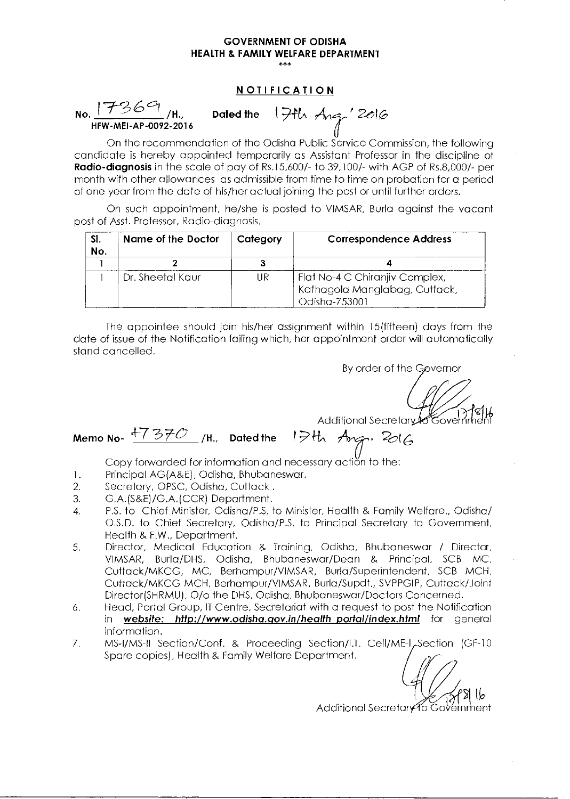### **NOTIFICATION**

**-/—(3 6 °I No. /H.,**  HFW-MEI-AP-0092-2016

**Dated the 1 9-NA** Ati ' 2eIG

On the recommendation of the Odisha Public Service Commission, the following candidate is hereby appointed temporarily as Assistant Professor in the discipline of **Radio-diagnosis** in the scale of pay of Rs.15,600/- to 39,100/- with AGP of Rs.8,000/- per month with other allowances as admissible from time to time on probation for a period of one year from the date of his/her actual joining the post or until further orders.

On such appointment, he/she is posted to VIMSAR, Burla against the vacant post of Asst. Professor, Radio-diagnosis.

| -SI.<br>No. | <b>Name of the Doctor</b> | Category | <b>Correspondence Address</b>                                                    |
|-------------|---------------------------|----------|----------------------------------------------------------------------------------|
|             |                           |          |                                                                                  |
|             | Dr. Sheetal Kaur          | UR       | Flat No-4 C Chiranjiv Complex,<br>Kathagola Manglabag, Cuttack,<br>Odisha-753001 |

The appointee should join his/her assignment within 15(fifteen) days from the date of issue of the Notification failing which, her appointment order will automatically stand cancelled.

By order of the Governor

Additional Secretary Covernment

Additional Secretary to<br>Memo No-  $\frac{17370}{1}$ /H., Dated the 19th Ang., 2016

Copy forwarded for information and necessary action to the:

- 1. Principal AG(A&E), Odisha, Bhubaneswar.<br>2. Secretary, OPSC, Odisha, Cuttack.
- Secretary, OPSC, Odisha, Cuttack.
- 3. G.A.(S&E)/G.A.(CCR) Department.
- 4. P.S. to Chief Minister, Odisha/P.S. to Minister, Health & Family Welfare., Odisha/ O.S.D. to Chief Secretary, Odisha/P.S. to Principal Secretary to Government, Health & F.W., Department.
- 5. Director, Medical Education & Training, Odisha, Bhubaneswar / Director, VIMSAR, Burla/DHS, Odisha, Bhubaneswar/Dean & Principal, SCB MC, Cuttack/MKCG, MC, Berhampur/VIMSAR, Burla/Superintendent, SCB MCH, Cuttack/MKCG MCH, Berhampur/VIMSAR, Burla/Supdt., SVPPGIP, Cuttack/Joint Director(SHRMU), 0/o the DHS, Odisha, Bhubaneswar/Doctors Concerned.
- 6. Head, Portal Group, IT Centre, Secretariat with a request to post the Notification<br>in **website: http://www.odisha.gov.in/health portal/index.html** for aeneral website: http://www.odisha.gov.in/health\_portal/index.html for general information.
- 7. MS-I/MS-II Section/Conf. & Proceeding Section/I.T. Cell/ME-I, Section (GF-10 Spare copies), Health & Family Welfare Department.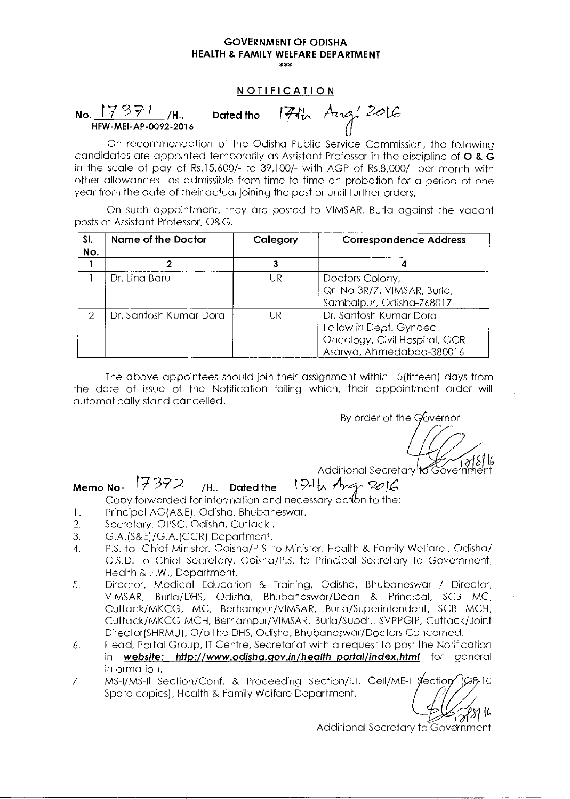#### NOTIFICATION

 $\begin{array}{r} \texttt{NOTIFICATION} \ \texttt{No.} \ \ \texttt{17371} \ \texttt{N6.} \ \ \texttt{174} \ \texttt{N} \ \texttt{NFW-MEI-AP-0092-2016} \end{array}$ 

1742 Aug' 2016

On recommendation of the Odisha Public Service Commission, the following candidates are appointed temporarily as Assistant Professor in the discipline of  $\bigcirc$  &  $\tilde{\bigcirc}$ in the scale of pay of Rs.15,600/- to 39,100/- with AGP of Rs.8,000/- per month with other allowances as admissible from time to time on probation for a period of one year from the date of their actual joining the post or until further orders.

On such appointment, they are posted to VIMSAR, Burla against the vacant posts of Assistant Professor, O&G.

| SI.<br>No. | Name of the Doctor     | Category | <b>Correspondence Address</b>                                                                                  |
|------------|------------------------|----------|----------------------------------------------------------------------------------------------------------------|
|            |                        |          |                                                                                                                |
|            | Dr. Lina Baru          | UR       | Doctors Colony,<br>Qr. No-3R/7, VIMSAR, Burla,<br>Sambalpur, Odisha-768017                                     |
| 2          | Dr. Santosh Kumar Dora | UR       | Dr. Santosh Kumar Dora<br>Fellow in Dept. Gynaec<br>Oncology, Civil Hospital, GCRI<br>Asarwa, Ahmedabad-380016 |

The above appointees should join their assignment within 15(fifteen) days from the date of issue of the Notification failing which, their appointment order will automatically stand cancelled.

By order of the Governor

IL

Additional Secretary to Goverh ent

# Memo No-  $17372$  /H., Dated the 19th Ang 2016

- 1. Principal AG(A&E), Odisha, Bhubaneswar.
- 2. Secretary, OPSC, Odisha, Cuttack.
- 3. G.A.(S&E)/G.A.(CCR) Department.
- 4. P.S. to Chief Minister, Odisha/P.S. to Minister, Health & Family Welfare., Odisha/ O.S.D. to Chief Secretary, Odisha/P.S. to Principal Secretary to Government, Health & F.W., Department.
- 5. Director, Medical Education & Training, Odisha, Bhubaneswar / Director, VIMSAR, Burla/DHS, Odisha, Bhubaneswar/Dean & Principal, SCB MC, Cuttack/MKCG, MC, Berhampur/VIMSAR, Burla/Superintendent, SCB MCH, Cuttack/MKCG MCH, Berhampur/VIMSAR, Burla/Supdt., SVPPGIP, Cuttack/Joint Director(SHRMU), 0/o the DHS, Odisha, Bhubaneswar/Doctors Concerned.
- 6. Head, Portal Group, IT Centre, Secretariat with a request to post the Notification in website: http://www.odisha.gov.in/healthportal/index.html for general information.
- 7. MS-I/MS-II Section/Conf. & Proceeding Section/I.T. Cell/ME-I Section Spare copies), Health & Family Welfare Department.

Additional Secretary to Government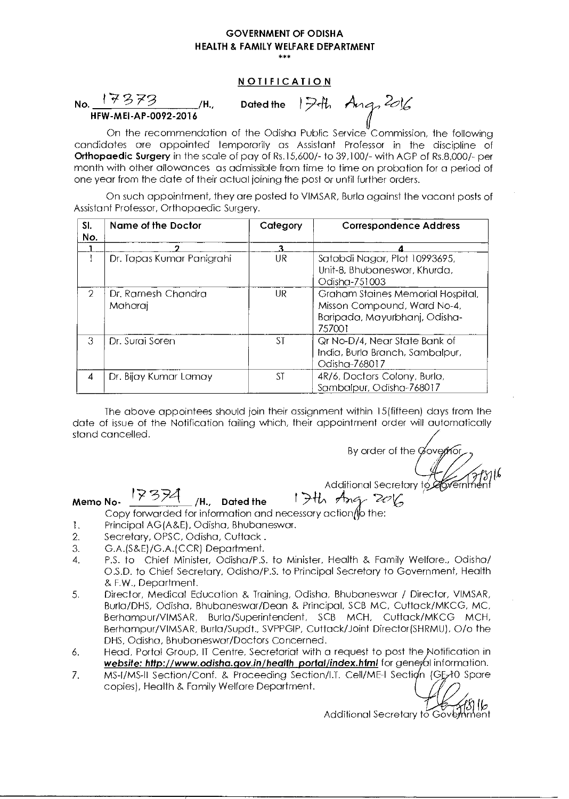#### NOTIFICATION

No.  $17373$ <br>HFW-MEI-AP-0092-2016

 $\mathcal{L}$ <sup>/H.,</sup> Dated the I<sup>7</sup> th Ang, 2016

On the recommendation of the Odisha Public Service Commission, the following candidates are appointed temporarily as Assistant Professor in the discipline of Orthopaedic Surgery in the scale of pay of Rs.15,600/- to 39,100/- with AGP of Rs.8,000/- per month with other allowances as admissible from time to time on probation for a period of one year from the date of their actual joining the post or until further orders.

On such appointment, they are posted to VIMSAR, Burla against the vacant posts of Assistant Professor, Orthopaedic Surgery.

| SI.<br>No.    | Name of the Doctor            | Category | <b>Correspondence Address</b>                                                                               |
|---------------|-------------------------------|----------|-------------------------------------------------------------------------------------------------------------|
|               |                               | 3        |                                                                                                             |
|               | Dr. Tapas Kumar Panigrahi     | UR       | Satabdi Nagar, Plot 10993695,<br>Unit-8, Bhubaneswar, Khurda,<br>Odisha-751003                              |
| $\mathcal{P}$ | Dr. Ramesh Chandra<br>Maharaj | UR.      | Graham Staines Memorial Hospital,<br>Misson Compound, Ward No-4,<br>Baripada, Mayurbhanj, Odisha-<br>757001 |
| 3             | Dr. Surai Soren               | ST       | Qr No-D/4, Near State Bank of<br>India, Burla Branch, Sambalpur,<br>Odisha-768017                           |
| 4             | Dr. Bijay Kumar Lamay         | ST       | 4R/6, Doctors Colony, Burla,<br>Sambalpur, Odisha-768017                                                    |

The above appointees should join their assignment within 15(fifteen) days from the date of issue of the Notification failing which, their appointment order will automatically stand cancelled.

By order of the Governor

Memo No-  $\frac{17374}{1}$  /H., Dated the Copy forwarded for information and necessary action flother

- 
- 1. Principal AG (A&E), Odisha, Bhubaneswar.<br>2. Secretary, OPSC, Odisha, Cuttack. Secretary, OPSC, Odisha, Cuttack.
- 3. G.A.(S&E)/G.A.(CCR) Department.
- 4. P.S. to Chief Minister, Odisha/P.S. to Minister, Health & Family Welfare., Odisha/ O.S.D. to Chief Secretary, Odisha/P.S. to Principal Secretary to Government, Health & F.W., Department.
- 5. Director, Medical Education & Training, Odisha, Bhubaneswar / Director, VIMSAR, Burla/DHS, Odisha, Bhubaneswar/Dean & Principal, SCB MC, Cuttack/MKCG, MC, Berhampur/VIMSAR, Burla/Superintendent, SCB MCH, Cuttack/MKCG MCH, Berhampur/VIMSAR, Burla/Supdt., SVPPGIP, Cuttack/Joint Director(SHRMU), 0/o the DHS, Odisha, Bhubaneswar/Doctors Concerned.
- 6. Head, Portal Group, IT Centre, Secretariat with a request to post the Notification in website: http://www.odisha.gov.in/health\_portal/index.html for general information.
- 7. MS-I/MS-II Section/Conf. & Proceeding Section/I.T. Cell/ME-I Section (GE-HO Spare copies), Health & Family Welfare Department.

Additional Secretary to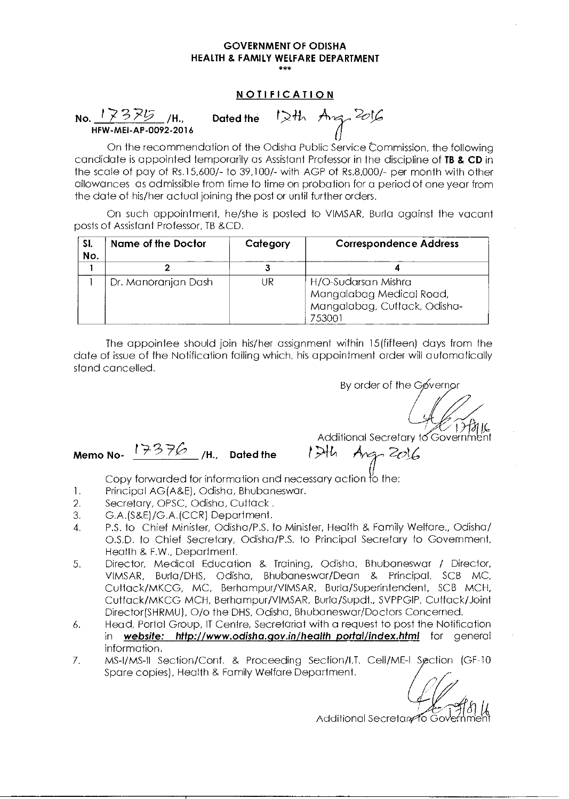#### **NOTIFICATION**

**No.**  $\frac{17375}{45}$ /H., Dated the  $1244$  Ang 2016 HFW-MEI-AP-0092-2016

On the recommendation of the Odisha Public Service Commission, the following candidate is appointed temporarily as Assistant Professor in the discipline of **TB & CD** in the scale of pay of Rs.15,600/- to 39,100/- with AGP of Rs.8,000/- per month with other allowances as admissible from time to time on probation for a period of one year from the date of his/her actual joining the post or until further orders.

On such appointment, he/she is posted to VIMSAR, Burla against the vacant posts of Assistant Professor, TB &CD.

| SI.<br>No. | <b>Name of the Doctor</b> | Category | <b>Correspondence Address</b>                                                             |
|------------|---------------------------|----------|-------------------------------------------------------------------------------------------|
|            |                           |          |                                                                                           |
|            | Dr. Manoranjan Dash       | UR       | H/O-Sudarsan Mishra<br>Mangalabag Medical Road,<br>Mangalabag, Cuttack, Odisha-<br>753001 |

The appointee should join his/her assignment within 15(fifteen) days from the date of issue of the Notification failing which, his appointment order will automatically stand cancelled.

By order of the Gøvernor

 $\frac{1}{1}$ 

Additional Secretary to Government **Memo No-**  $17376$  /H., Dated the  $1746$  Ang-  $2016$ 

- 1. Principal AG(A&E), Odisha, Bhubaneswar.
- 2. Secretary, OPSC, Odisha, Cuttack .
- 3. G.A.(S&E)/G.A.(CCR) Department.
- 4. P.S. to Chief Minister, Odisha/P.S. to Minister, Health & Family Welfare., Odisha/ O.S.D. to Chief Secretary, Odisha/P.S. to Principal Secretary to Government, Health & F.W., Department.
- 5. Director, Medical Education & Training, Odisha, Bhubaneswar / Director, VIMSAR, Burla/DHS, Odisha, Bhubaneswar/Dean & Principal, SCB MC, Cuttack/MKCG, MC, Berhampur/VIMSAR, Burla/Superintendent, SCB MCH, Cuttack/MKCG MCH, Berhampur/VIMSAR, Burla/Supdt., SVPPGIP, Cuttack/Joint Director(SHRMU), 0/o the DHS, Odisha, Bhubaneswar/Doctors Concerned.
- 6. Head, Portal Group, IT Centre, Secretariat with a request to post the Notification in website: http://www.odisha.gov.in/healthportal/index.html for general information.
- 7. MS-I/MS-11 Section/Conf. & Proceeding Section/I.T. Cell/ME-I Section (GF-10 Spare copies), Health & Family Welfare Department.

ection/I.T. Cell/ME-I Section (GF-10<br>artment.<br>Additional Secretary to Government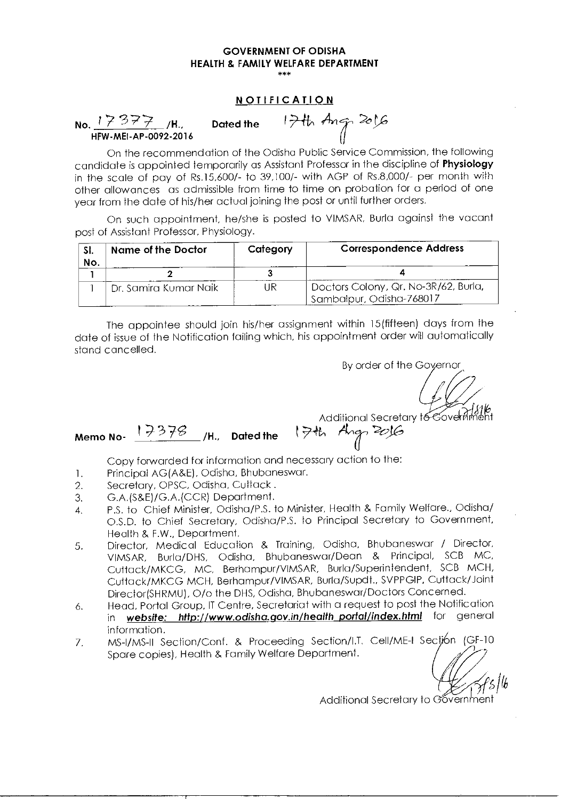\*\*\*

#### NOTIFICATION

No.  $17377$  /H.,<br>HFW-MEI-AP-0092-2016

Dated the  $1746$  Ang 2016

On the recommendation of the Odisha Public Service Commission, the following candidate is appointed temporarily as Assistant Professor in the discipline of Physiology in the scale of pay of Rs.15,600/- to 39,100/- with AGP of Rs.8,000/- per month with other allowances as admissible from time to time on probation for a period of one year from the date of his/her actual joining the post or until further orders.

On such appointment, he/she is posted to VIMSAR, Burla against the vacant post of Assistant Professor, Physiology.

| -SI.<br>No. | Name of the Doctor    | Category | <b>Correspondence Address</b>                                                 |
|-------------|-----------------------|----------|-------------------------------------------------------------------------------|
|             |                       |          |                                                                               |
|             | Dr. Samira Kumar Naik | UR       | <sup>1</sup> Doctors Colony, Qr. No-3R/62, Burla,<br>Sambalpur, Odisha-768017 |

The appointee should join his/her assignment within 15 (fifteen) days from the date of issue of the Notification failing which, his appointment order will automatically stand cancelled.

By order of the Governor

Additional Secretary to cover finite to the Memo No- 17378 /H., Dated the 17th Angr 2016

Copy forwarded for information and necessary action to the:

- 1. Principal AG (A&E), Odisha, Bhubaneswar.<br>2. Secretary, OPSC, Odisha, Cuttack.
- Secretary, OPSC, Odisha, Cuttack.
- 3. G.A.(S&E)/G.A.(CCR) Department.
- 4. P.S. to Chief Minister, Odisha/P.S. to Minister, Health & Family Welfare., Odisha/ O.S.D. to Chief Secretary, Odisha/P.S. to Principal Secretary to Government, Health & F.W., Department.
- 5. Director, Medical Education & Training, Odisha, Bhubaneswar / Director, VIMSAR, Burla/DHS, Odisha, Bhubaneswar/Dean & Principal, SCB MC, Cuttack/MKCG, MC, Berhampur/VIMSAR, Burla/Superintendent, SCB MCH, Cuttack/MKCG MCH, Berhampur/VIMSAR, Burla/Supdt., SVPPGIP, Cuttack/Joint Director(SHRMU), 0/o the DHS, Odisha, Bhubaneswar/Doctors Concerned.
- 6. Head, Portal Group, IT Centre, Secretariat with a request to post the Notification in website: http://www.odisha.gov.in/health\_portal/index.html for general information.
- 7. MS-I/MS-II Section/Conf. & Proceeding Section/I.T. Cell/ME-I Section (GF-10 Spare copies), Health & Family Welfare Department.

| 5 |*\*<br>| Additional Secretary to Government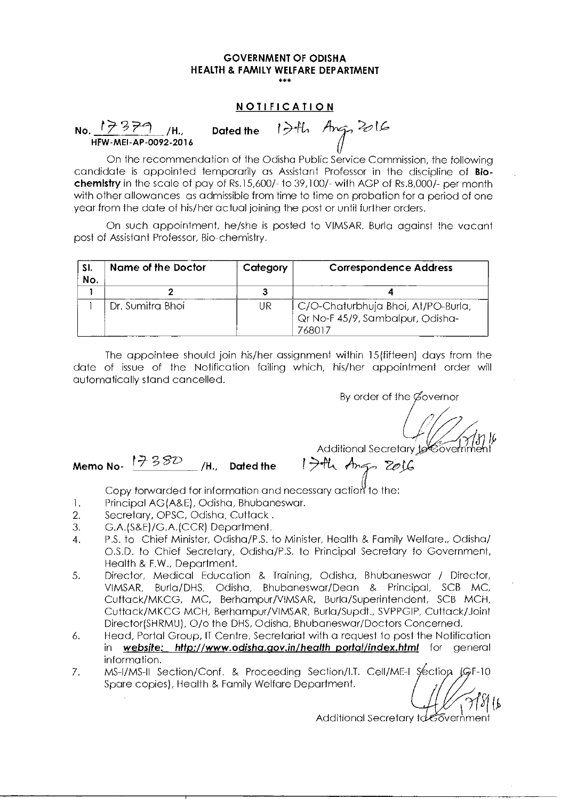#### **NOTIFICATION**

### No.  $17379$  /H., HFW-MEI-AP-0092-2016 Dated the 1<sup>7</sup>th Ang, 2016

On the recommendation of the Odisha Public Service Commission, the following candidate is appointed temporarily as Assistant Professor in the discipline of **Biochemistry** in the scale of pay of Rs.15,600/- to 39,100/- with AGP of Rs.8,000/- per month with other allowances as admissible from time to time on probation for a period of one year from the date of his/her actual joining the post or until further orders.

On such appointment, he/she is posted to VIMSAR, Burla against the vacant post of Assistant Professor, Bio-chemistry.

| SI.<br>No. | Name of the Doctor | Category | <b>Correspondence Address</b>                                                    |
|------------|--------------------|----------|----------------------------------------------------------------------------------|
|            |                    |          |                                                                                  |
|            | Dr. Sumitra Bhoi   | UR       | C/O-Chaturbhuja Bhoi, At/PO-Burla,<br>Qr No-F 45/9, Sambalpur, Odisha-<br>768017 |

The appointee should join his/her assignment within 15 (fifteen) days from the date of issue of the Notification failing which, his/her appointment order will automatically stand cancelled.

By order of the Governor

Additional Secretary 1966ver

Additional Secretary<br>Me**mo No- 1** 38D **/H., Dated the 1** 7th Angels

- 1. Principal AG(A&E), Odisha, Bhubaneswar.
- 2. Secretary, OPSC, Odisha, Cuttack .
- 3. G.A.(S&E)/G.A.(CCR) Department.
- 4. P.S. to Chief Minister, Odisha/P.S. to Minister, Health & Family Welfare., Odisha/ O.S.D. to Chief Secretary, Odisha/P.S. to Principal Secretary to Government, Health & EW., Department.
- 5. Director, Medical Education & Training, Odisha, Bhubaneswar / Director, VIMSAR, Burla/DHS, Odisha, Bhubaneswar/Dean & Principal, SCB MC, Cuttack/MKCG, MC, Berhampur/VIMSAR, Burla/Superintendent, SCB MCH, Cuttack/MKCG MCH, Berhampur/VIMSAR, Burla/Supdt., SVPPGIP, Cuttack/Joint Director(SHRMU), 0/o the DHS, Odisha, Bhubaneswar/Doctors Concerned.
- 6. Head, Portal Group, IT Centre, Secretariat with a request to post the Notification in website: http://www.odisha.gov.in/healthportal/index.html for general information.
- 7. MS-I/MS-II Section/Conf. & Proceeding Section/I.T. Cell/ME-I Section (GF-10) Spare copies), Health & Family Welfare Department.

 $\mathcal{M}$ d $\emptyset$ Additional Secretary to covernment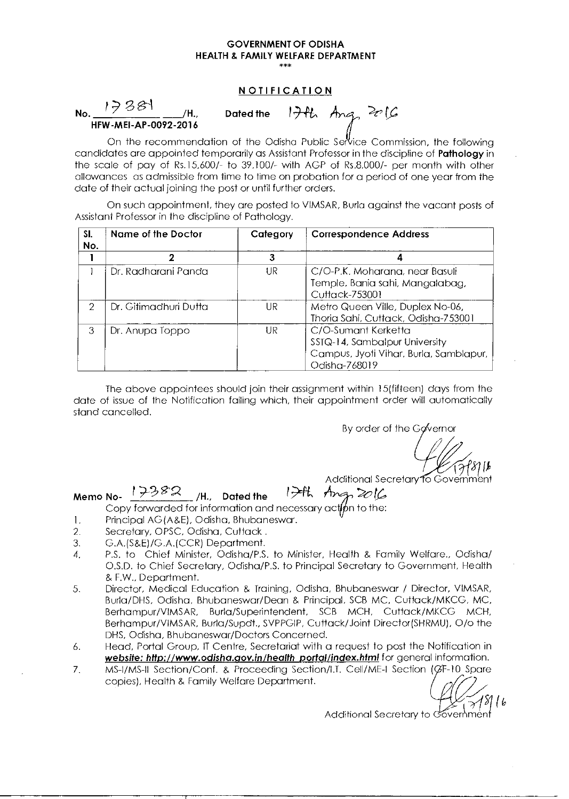#### **NOTIFICATION**

 $\begin{array}{ccc} \textsf{No.} & \textsf{1} \end{array}$   $\begin{array}{ccc} \mathcal{P} & \mathcal{S} & \mathcal{S} \end{array}$   $\begin{array}{ccc} \textsf{Al.} & \textsf{Dated the} \end{array}$ **HFW-MEI-AP-0092-2016** 

17th Ang 2016

On the recommendation of the Odisha Public Service Commission, the following candidates are appointed temporarily as Assistant Professor in the discipline of **Pathology** in the scale of pay of Rs.15,600/- to 39,100/- with AGP of Rs.8,000/- per month with other allowances as admissible from time to time on probation for a period of one year from the date of their actual joining the post or until further orders.

On such appointment, they are posted to VIMSAR, Burla against the vacant posts of Assistant Professor in the discipline of Pathology.

| SI.<br>No. | Name of the Doctor    | Category | <b>Correspondence Address</b>                                                                                   |
|------------|-----------------------|----------|-----------------------------------------------------------------------------------------------------------------|
|            | 2                     | 3        |                                                                                                                 |
|            | Dr. Radharani Panda   | UR       | C/O-P.K. Moharana, near Basuli<br>Temple, Bania sahi, Mangalabag,<br>Cuttack-753001                             |
| 2          | Dr. Gitimadhuri Dutta | UR       | Metro Queen Ville, Duplex No-06,<br>Thoria Sahi, Cuttack, Odisha-753001                                         |
| З          | Dr. Anupa Toppo       | UR       | C/O-Sumant Kerketta<br>SSTQ-14, Sambalpur University<br>Campus, Jyoti Vihar, Burla, Samblapur,<br>Odisha-768019 |

The above appointees should join their assignment within 15(fifteen) days from the date of issue of the Notification failing which, their appointment order will automatically stand cancelled.

By order of the Governor

Additional Secretary fo Government

#### **Memo No-** $17382$  H<sub>1</sub> Dated the  $174$  Ang  $2016$ **/H. Dated the**

Copy forwarded for information and necessary action to the:

- 1. Principal AG (A&E), Odisha, Bhubaneswar.
- 2. Secretary, OPSC, Odisha, Cuttack.
- 3. G.A.(S&E)/G.A.(CCR) Department.
- 4. P.S. to Chief Minister, Odisha/P.S. to Minister, Health & Family Welfare., Odisha/ O.S.D. to Chief Secretary, Odisha/P.S. to Principal Secretary to Government, Health & F.W., Department.
- 5. Director, Medical Education & Training, Odisha, Bhubaneswar / Director, VIMSAR, Burla/DHS, Odisha, Bhubaneswar/Dean & Principal, SCB MC, Cuttack/MKCG, MC, Berhampur/VIMSAR, Burla/Superintendent, SCB MCH, Cuttack/MKCG MCH, Berhampur/VIMSAR, Burla/Supdt., SVPPGIP, Cuttack/Joint Director(SHRMU), 0/o the DHS, Odisha, Bhubaneswar/Doctors Concerned.
- 6. Head, Portal Group, IT Centre, Secretariat with a request to post the Notification in website: http://www.odisha.gov.in/health portal/index.html for general information.
- 7. MS-I/MS-II Section/Conf. & Proceeding Section/I.T. Cell/ME-I Section (GF-10 Spare copies), Health *&* Family Welfare Department.

 $\mathscr{D}_{\mathcal{N}}$ 

<sup>f</sup> ›451(6 Additional Secretary to overnment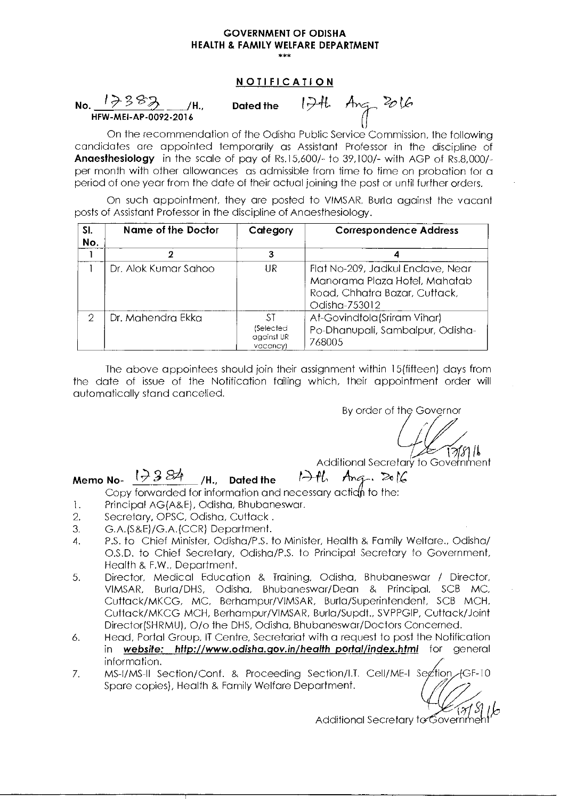#### **NOTIFICATION**



On the recommendation of the Odisha Public Service Commission, the following candidates are appointed temporarily as Assistant Professor in the discipline of Anaesthesiology in the scale of pay of Rs.15,600/- to 39,100/- with AGP of Rs.8,000/ per month with other allowances as admissible from time to time on probation for a period of one year from the date of their actual joining the post or until further orders.

On such appointment, they are posted to VIMSAR, Burla against the vacant posts of Assistant Professor in the discipline of Anaesthesiology.

| SI.<br>No. | Name of the Doctor   | Category                                  | <b>Correspondence Address</b>                                                                                        |
|------------|----------------------|-------------------------------------------|----------------------------------------------------------------------------------------------------------------------|
|            |                      |                                           |                                                                                                                      |
|            | Dr. Alok Kumar Sahoo | UR                                        | Flat No-209, Jadkul Enclave, Near<br>Manorama Plaza Hotel, Mahatab<br>Road, Chhatra Bazar, Cuttack,<br>Odisha-753012 |
| 2          | Dr. Mahendra Ekka    | ЗT<br>(Selected<br>against UR<br>vacancy) | At-Govindtola (Sriram Vihar)<br>Po-Dhanupali, Sambalpur, Odisha-<br>768005                                           |

The above appointees should join their assignment within 15(fifteen) days from the date of issue of the Notification failing which, their appointment order will automatically stand cancelled.

By order of the Governor

Additional Secretary to Government

Memo No-  $\sqrt{384}$  /H., Dated the 17th Ang. 2016

Copy forwarded for information and necessary action to the:

- 1. Principal AG(A&E), Odisha, Bhubaneswar.<br>2. Secretary, OPSC, Odisha, Cuttack.
- 2. Secretary, OPSC, Odisha, Cuttack .
- 3. G.A.(S&E)/G.A.(CCR) Department.
- 4. P.S. to Chief Minister, Odisha/P.S. to Minister, Health & Family Welfare., Odisha/ O.S.D. to Chief Secretary, Odisha/P.S. to Principal Secretary to Government, Health & F.W., Department.
- 5. Director, Medical Education & Training, Odisha, Bhubaneswar / Director, VIMSAR, Burla/DHS, Odisha, Bhubaneswar/Dean & Principal, SCB MC, Cuttack/MKCG, MC, Berhampur/VIMSAR, Burla/Superintendent, SCB MCH, Cuttack/MKCG MCH, Berhampur/VIMSAR, Burla/Supdt., SVPPGIP, Cuttack/Joint Director(SHRMU), 0/o the DHS, Odisha, Bhubaneswar/Doctors Concerned.
- 6. Head, Portal Group, IT Centre, Secretariat with a request to post the Notification in website: http://www.odisha.gov.in/health portal/index.html for general information.
- 7. MS-I/MS-II Section/Conf. & Proceeding Section/I.T. Cell/ME-I Section/GF-10 Spare copies), Health & Family Welfare Department.

Additional Secretary to  $\mathfrak{S}_{\text{OV}}$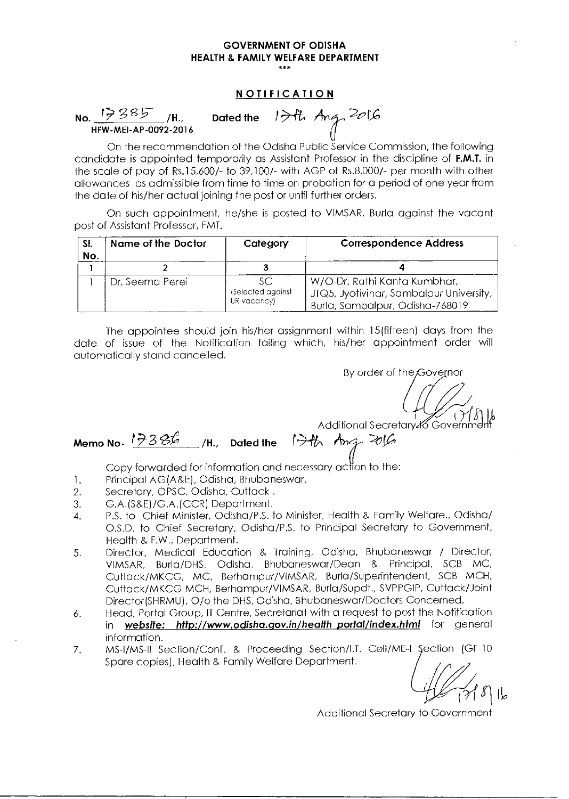#### **NOTIFICATION**

No.  $1785$ , /H., Dated the  $174$ , Ang, 2016 HFW-MEI-AP-0092-2016

On the recommendation of the Odisha Public Service Commission, the following candidate is appointed temporarily as Assistant Professor in the discipline of F.M.T. in the scale of pay of Rs.15,600/- to 39,100/- with AGP of Rs.8,000/- per month with other allowances as admissible from time to time on probation for a period of one year from the date of his/her actual joining the post or until further orders.

On such appointment, he/she is posted to VIMSAR, Burla against the vacant post of Assistant Professor, EMT.

| SI.<br>No. | Name of the Doctor | Category                                | <b>Correspondence Address</b>                                                                              |
|------------|--------------------|-----------------------------------------|------------------------------------------------------------------------------------------------------------|
|            |                    |                                         |                                                                                                            |
|            | Dr. Seema Perei    | SC.<br>(Selected against<br>UR vacancy) | W/O-Dr. Rathi Kanta Kumbhar,<br>JTQ5, Jyotivihar, Sambalpur University,<br>Burla, Sambalpur, Odisha-768019 |

The appointee should join his/her assignment within 15(fifteen) days from the date of issue of the Notification failing which, his/her appointment order will automatically stand cancelled. Memo No-  $\frac{1}{2}$  3  $\frac{36}{26}$  (N, D and the rest against UWO-Dr. Rathi Kanta Kumbhar,<br>Memo No- the appointee should join his/her assignment within 15 (fifteen) days from the date of issue of the Notification failing wh

By order of the Governor

Additional Secretary & Government

Copy forwarded for information and necessary action to the:

- 1. Principal AG(A&E), Odisha, Bhubaneswar.
- 2. Secretary, OPSC, Odisha, Cuttack
- 3. G.A.(S&E)/G.A.(CCR) Department.
- 4. P.S. to Chief Minister, Odisha/P.S. to Minister, Health & Family Welfare., Odisha/ O.S.D. to Chief Secretary, Odisha/P.S. to Principal Secretary to Government, Health & F.W., Department.
- 5. Director, Medical Education & Training, Odisha, Bhubaneswar / Director, VIMSAR, Burla/DHS, Odisha, Bhubaneswar/Dean & Principal, SCB MC, Cuttack/MKCG, MC, Berhampur/VIMSAR, Burla/Superintendent, SCB MCH, Cuttack/MKCG MCH, Berhampur/VIMSAR, Burla/Supdt., SVPPGIP, Cuttack/Joint Director(SHRMU), 0/o the DHS, Odisha, Bhubaneswar/Doctors Concerned.
- 6. Head, Portal Group, IT Centre, Secretariat with a request to post the Notification in website: http://www.odisha.gov.in/health portal/index.html for general information.
- 7. MS-I/MS-II Section/Conf. & Proceeding Section/I.T. Cell/ME-I Section (GF-10 Spare copies), Health & Family Welfare Department.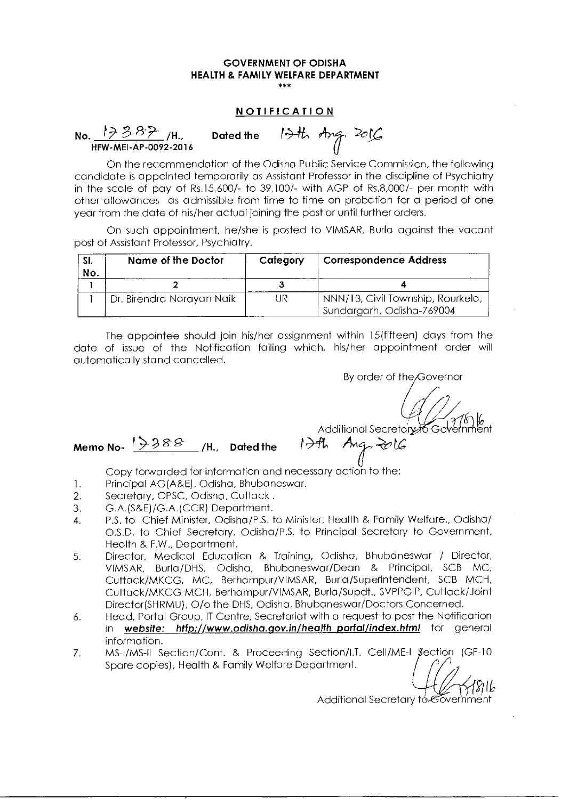#### **NOTIFICATION**

#### **No. 19-**  Dated the 1<sup>3</sup>th Ang 2016 HFW-MEI-AP-0092-2016

On the recommendation of the Odisha Public Service Commission, the following candidate is appointed temporarily as Assistant Professor in the discipline of Psychiatry in the scale of pay of Rs.15,600/- to 39,100/- with AGP of Rs.8,000/- per month with other allowances as admissible from time to time on probation for a period of one year from the date of his/her actual joining the post or until further orders.

On such appointment, he/she is posted to VIMSAR, Burla against the vacant post of Assistant Professor, Psychiatry.

| SI.<br>No. | Name of the Doctor        | Category | <b>Correspondence Address</b>                                  |
|------------|---------------------------|----------|----------------------------------------------------------------|
|            |                           |          |                                                                |
|            | Dr. Birendra Narayan Naik | UR       | NNN/13, Civil Township, Rourkela,<br>Sundargarh, Odisha-769004 |

The appointee should join his/her assignment within 15(fifteen) days from the date of issue of the Notification failing which, his/her appointment order will automatically stand cancelled.

By order of the Governor

7,

# $M$ emo No-  $\sqrt{388}$   $\frac{1}{4}$ , Dated the  $\sqrt{34}$

Additional Secretary Covernment<br>4. Ang. 2016

- 1. Principal AG(A&E), Odisha, Bhubaneswar.
- 2. Secretary, OPSC, Odisha, Cuttack .
- 3. G.A.(S&E)/G.A.(CCR) Department.
- 4. P.S. to Chief Minister, Odisha/P.S. to Minister, Health & Family Welfare., Odisha/ O.S.D. to Chief Secretary, Odisha/P.S. to Principal Secretary to Government, Health & F.W., Department.
- 5. Director, Medical Education & Training, Odisha, Bhubaneswar / Director, VIMSAR, Burla/DHS, Odisha, Bhubaneswar/Dean & Principal, SCB MC, Cuttack/MKCG, MC, Berhampur/VIMSAR, Burla/Superintendent, SCB MCH, Cuttack/MKCG MCH, Berhampur/VIMSAR, Burla/Supdt., SVPPGIP, Cuttack/Joint Director(SHRMU), 0/o the DHS, Odisha, Bhubaneswar/Doctors Concerned.
- 6. Head, Portal Group, IT Centre, Secretariat with a request to post the Notification in website: http://www.odisha.gov.in/health portal/index.html for general information.
- 7. MS-I/MS-11 Section/Conf. & Proceeding Section/I.T. Cell/ME-I section (GF-10 Spare copies), Health & Family Welfare Department.

Additional Secretary to Covernment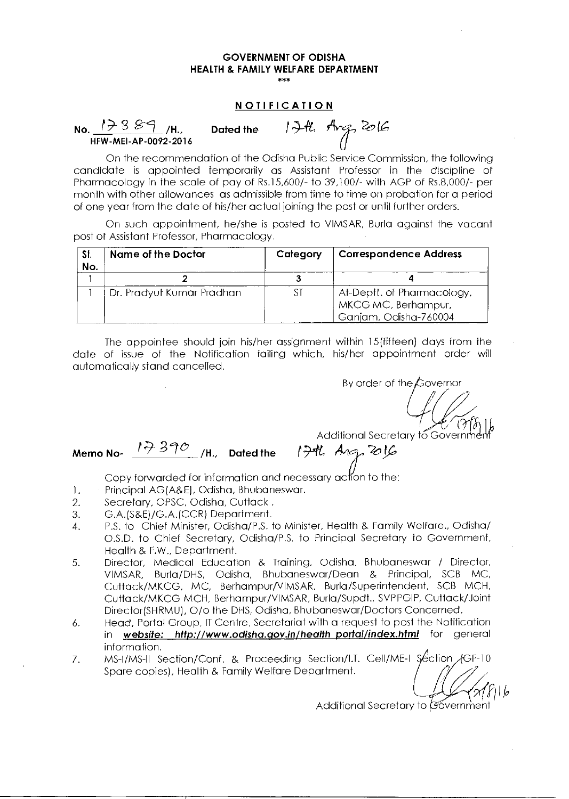#### **NOTIFICATION**

**No.**  $17389$  /H., Dated the  $174$ , Ang 2016 HEW-MEI-AP-0092-2016

On the recommendation of the Odisha Public Service Commission, the following candidate is appointed temporarily as Assistant Professor in the discipline of Pharmacology in the scale of pay of Rs.15,600/- to 39,100/- with AGP of Rs.8,000/- per month with other allowances as admissible from time to time on probation for a period of one year from the date of his/her actual joining the post or until further orders.

On such appointment, he/she is posted to VIMSAR, Burla against the vacant post of Assistant Professor, Pharmacology.

| SI.<br>No. | Name of the Doctor        | Category | <b>Correspondence Address</b>                                              |
|------------|---------------------------|----------|----------------------------------------------------------------------------|
|            |                           |          |                                                                            |
|            | Dr. Pradyut Kumar Pradhan | S1       | At-Deptt, of Pharmacology,<br>MKCG MC, Berhampur,<br>Ganjam, Odisha-760004 |

The appointee should join his/her assignment within 15(fifteen) days from the date of issue of the Notification failing which, his/her appointment order will automatically stand cancelled.

By order of the  $\cancel{t}$  overnor

Additional Secretary to Governme

# **Memo No-**  $17370$  /H., Dated the  $174$   $A_{15}$   $B_{16}$

- 1. Principal AG(A&E), Odisha, Bhubaneswar.
- 2. Secretary, OPSC, Odisha, Cuttack.
- 3. G.A.(S&E)/G.A.(CCR) Department.
- 4. P.S. to Chief Minister, Odisha/P.S. to Minister, Health & Family Welfare., Odisha/ O.S.D. to Chief Secretary, Odisha/P.S. to Principal Secretary to Government, Health & F.W., Department.
- 5. Director, Medical Education & Training, Odisha, Bhubaneswar / Director, VIMSAR, Burla/DHS, Odisha, Bhubaneswar/Dean & Principal, SCB MC, Cuttack/MKCG, MC, Berhampur/VIMSAR, Burla/Superintendent, SCB MCH, Cuttack/MKCG MCH, Berhampur/VIMSAR, Burla/Supdt., SVPPGIP, Cuttack/Joint Director(SHRMU), 0/o the DHS, Odisha, Bhubaneswar/Doctors Concerned.
- 6. Head, Portal Group, IT Centre, Secretariat with a request to post the Notification in website: http://www.odisha.gov.in/healthportal/index.html for general information.
- 7. MS-I/MS-II Section/Conf. & Proceeding Section/I.T. Cell/ME-I Section GCF-10 Spare copies), Health & Family Welfare Department.

Additional Secretary to **Sovernment**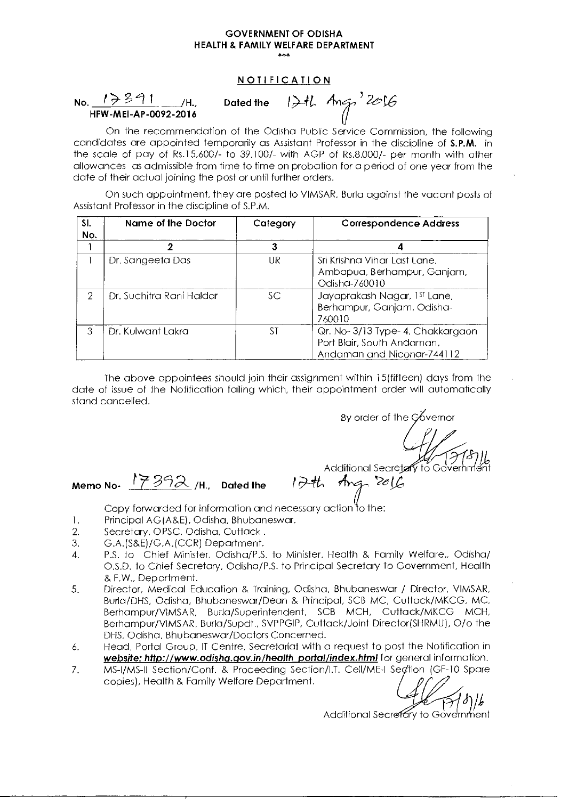No. 1 /H. Dated the 1,) HFW-MEI-AP-0092-2016

NOTIFICATION<br>Dated the  $12H$  Ang  $2016$ 

On the recommendation of the Odisha Public Service Commission, the following candidates are appointed temporarily as Assistant Professor in the discipline of S.P.M. in the scale of pay of Rs.15,600/- to 39,100/- with AGP of Rs.8,000/- per month with other allowances as admissible from time to time on probation for a period of one year from the date of their actual joining the post or until further orders.

On such appointment, they are posted to VIMSAR, Burla against the vacant posts of Assistant Professor in the discipline of S.P.M.

| SI.<br>No. | <b>Name of the Doctor</b> | Category | <b>Correspondence Address</b>                                                               |
|------------|---------------------------|----------|---------------------------------------------------------------------------------------------|
|            |                           | 3        |                                                                                             |
|            | Dr. Sangeeta Das          | UR       | Sri Krishna Vihar Last Lane,<br>Ambapua, Berhampur, Ganjam,<br>Odisha-760010                |
| 2          | Dr. Suchitra Rani Haldar  | SС       | Jayaprakash Nagar, 1st Lane,<br>Berhampur, Ganjam, Odisha-<br>760010                        |
| 3          | Dr. Kulwant Lakra         | ST       | Qr. No-3/13 Type-4, Chakkargaon<br>Port Blair, South Andaman,<br>Andaman and Niconar-744112 |

The above appointees should join their assignment within 15(fifteen) days from the date of issue of the Notification failing which, their appointment order will automatically stand cancelled.

By order of the  $\cancel{\circ}$  vernor

Additional Secretary to Government Additional secrets<br>Memo No- 17392 /H., Dated the 1744 Ang 2016

Copy forwarded for information and necessary action to the:

- 1. Principal AG(A&E), Odisha, Bhubaneswar.
- 2. Secretary, OPSC, Odisha, Cuttack .
- 3. G.A.(S&E)/G.A.(CCR) Department.
- 4. P.S. to Chief Minister, Odisha/P.S. to Minister, Health & Family Welfare., Odisha/ O.S.D. to Chief Secretary, Odisha/P.S. to Principal Secretary to Government, Health EW., Department.
- 5. Director, Medical Education & Training, Odisha, Bhubaneswar / Director, VIMSAR, Burla/DHS, Odisha, Bhubaneswar/Dean & Principal, SCB MC, Cuttack/MKCG, MC, Berhampur/VIMSAR, Burla/Superintendent, SCB MCH, Cuttack/MKCG MCH, Berhampur/VIMSAR, Burla/Supdt., SVPPGIP, Cuttack/Joint Director(SHRMU), 0/o the DHS, Odisha, Bhubaneswar/Doctors Concerned.
- 6. Head, Portal Group, IT Centre, Secretariat with a request to post the Notification in website: http://www.odisha.gov.in/health\_portal/index.html for general information.
- 7. MS-I/MS-11 Section/Conf. & Proceeding Section/I.T. Cell/ME-I Section (GF-10 Spare copies), Health & Family Welfare Department.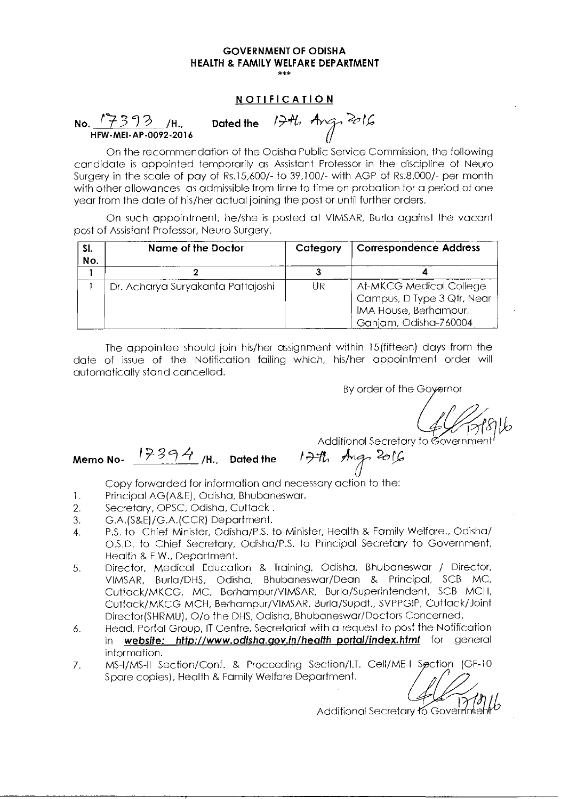#### **NOTIFICATION**

No.  $\frac{17393}{16}$ /H., Dated the 17th, Ang, 2016 HFW-MEI-AP-0092-2016

On the recommendation of the Odisha Public Service Commission, the following candidate is appointed temporarily as Assistant Professor in the discipline of Neuro Surgery in the scale of pay of Rs.15,600/- to 39,100/- with AGP of Rs.8,000/- per month with other allowances as admissible from time to time on probation for a period of one year from the date of his/her actual joining the post or until further orders.

On such appointment, he/she is posted at VIMSAR, Burla against the vacant post of Assistant Professor, Neuro Surgery.

| SI.<br>No. | <b>Name of the Doctor</b>         | Category | <b>Correspondence Address</b>                                                                           |
|------------|-----------------------------------|----------|---------------------------------------------------------------------------------------------------------|
|            |                                   |          |                                                                                                         |
|            | Dr. Acharya Suryakanta Pattajoshi | UR       | At-MKCG Medical College<br>Campus, D Type 3 Qtr, Near<br>IMA House, Berhampur,<br>Ganjam, Odisha-760004 |

The appointee should join his/her assignment within 15(fifteen) days from the date of issue of the Notification failing which, his/her appointment order will automatically stand cancelled.

By order of the Governor

Additional Secretary to Government Memo No-  $17394$  /H., Dated the  $174$ , Ang, 2016

Copy forwarded for information and necessary action to the:

- 1. Principal AG(A&E), Odisha, Bhubaneswar.
- 2. Secretary, OPSC, Odisha, Cuttack .
- 3. G.A.(S&E)/G.A.(CCR) Department.
- 4. P.S. to Chief Minister, Odisha/P.S. to Minister, Health & Family Welfare., Odisha/ O.S.D. to Chief Secretary, Odisha/P.S. to Principal Secretary to Government, Health & EW., Department.
- 5. Director, Medical Education & Training, Odisha, Bhubaneswar / Director, VIMSAR, Burla/DHS, Odisha, Bhubaneswar/Dean & Principal, SCB MC, Cuttack/MKCG, MC, Berhampur/VIMSAR, Burla/Superintendent, SCB MCH, Cuttack/MKCG MCH, Berhampur/VIMSAR, Burla/Supdt., SVPPGIP, Cuttack/Joint Director(SHRMU), 0/o the DHS, Odisha, Bhubaneswar/Doctors Concerned.
- 6. Head, Portal Group, IT Centre, Secretariat with a request to post the Notification in website: http://www.odisha.gov.in/health\_portal/index.html for general information.
- 7. MS-I/MS-II Section/Conf. & Proceeding Section/I.T. Cell/ME-I Section (GF-10 Spare copies), Health & Family Welfare Department.

)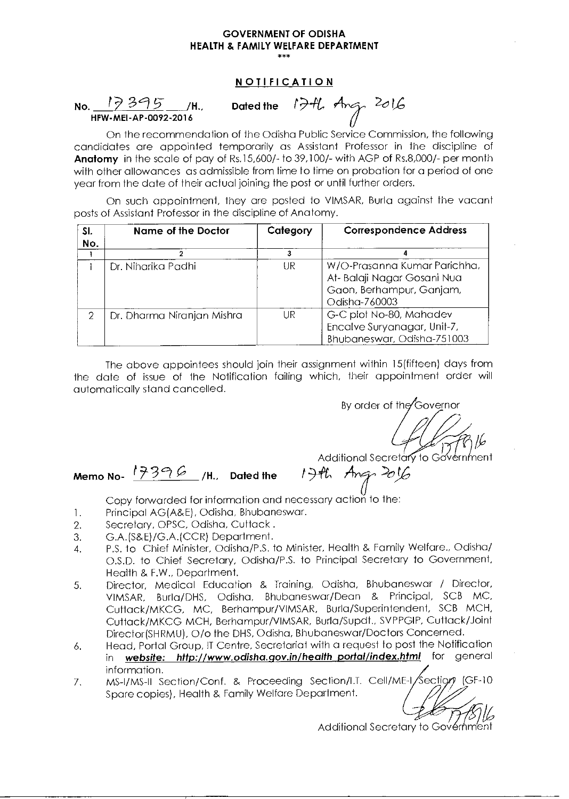#### **NOTIFICATION**

No. <u>17395</u> /H., HFW-MEI-AP-0092-2016

Dated the 17th Ang 2016

On the recommendation of the Odisha Public Service Commission, the following candidates are appointed temporarily as Assistant Professor in the discipline of **Anatomy** in the scale of pay of Rs.15,600/- to 39,100/- with AGP of Rs.8,000/- per month with other allowances as admissible from time to time on probation for a period of one year from the date of their actual joining the post or until further orders.

On such appointment, they are posted to VIMSAR, Burla against the vacant posts of Assistant Professor in the discipline of Anatomy.

| SI.<br>No. | <b>Name of the Doctor</b>  | Category | <b>Correspondence Address</b>                                                                            |
|------------|----------------------------|----------|----------------------------------------------------------------------------------------------------------|
|            |                            |          |                                                                                                          |
|            | Dr. Niharika Padhi         | UR       | W/O-Prasanna Kumar Parichha,<br>At- Balaji Nagar Gosani Nua<br>Gaon, Berhampur, Ganjam,<br>Odisha-760003 |
| 2          | Dr. Dharma Niranjan Mishra | UR       | G-C plot No-80, Mahadev<br>Encalve Suryanagar, Unit-7,<br>Bhubaneswar, Odisha-751003                     |

The above appointees should join their assignment within 15(fifteen) days from the date of issue of the Notification failing which, their appointment order will automatically stand cancelled.

By order of the Governor

 $2/7$ 

Additional Secretary to Government<br>Angr 2016

# **Memo No-**  $($  $\frac{19396}{10})$ H., Dated the

Copy forwarded for information and necessary action to the:

- 1. Principal AG(A&E), Odisha, Bhubaneswar.
- 2. Secretary, OPSC, Odisha, Cuttack .
- 3. G.A.(S&E)/G.A.(CCR) Department.
- 4. P.S. to Chief Minister, Odisha/P.S. to Minister, Health & Family Welfare., Odisha/ O.S.D. to Chief Secretary, Odisha/P.S. to Principal Secretary to Government, Health & F.W., Department.
- 5. Director, Medical Education & Training, Odisha, Bhubaneswar / Director, VIMSAR, Burla/DHS, Odisha, Bhubaneswar/Dean & Principal, SCB MC, Cuttack/MKCG, MC, Berhampur/VIMSAR, Burla/Superintendent, SCB MCH, Cuttack/MKCG MCH, Berhampur/VIMSAR, Burla/Supdt., SVPPGIP, Cuttack/Joint Director(SHRMU), 0/o the DHS, Odisha, Bhubaneswar/Doctors Concerned.
- 6. Head, Portal Group, IT Centre, Secretariat with a request to post the Notification in website: http://www.odisha.gov.in/health\_portal/index.html for general information.
- 7. MS-I/MS-II Section/Conf. & Proceeding Section/I.T. Cell/ME-I/Section (GF-10 Spare copies), Health & Family Welfare Department.